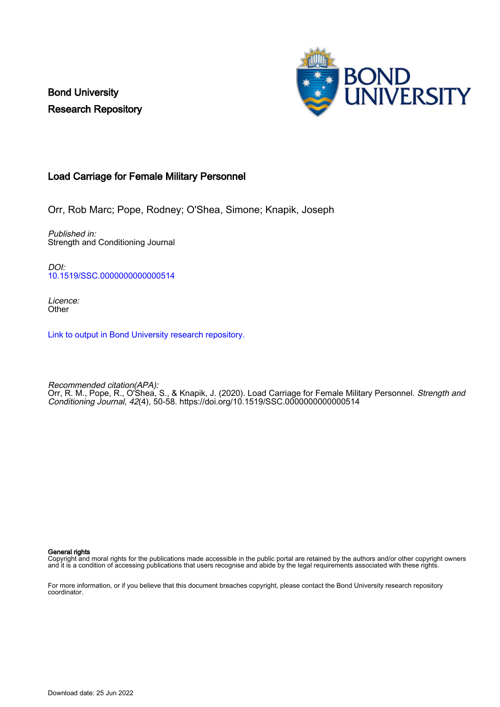Bond University Research Repository



# Load Carriage for Female Military Personnel

Orr, Rob Marc; Pope, Rodney; O'Shea, Simone; Knapik, Joseph

Published in: Strength and Conditioning Journal

DOI: [10.1519/SSC.0000000000000514](https://doi.org/10.1519/SSC.0000000000000514)

Licence: **Other** 

[Link to output in Bond University research repository.](https://research.bond.edu.au/en/publications/95ce7862-8b57-417c-b286-380ff4a89b96)

Recommended citation(APA): Orr, R. M., Pope, R., O'Shea, S., & Knapik, J. (2020). Load Carriage for Female Military Personnel. *Strength and* Conditioning Journal, 42(4), 50-58. <https://doi.org/10.1519/SSC.0000000000000514>

General rights

Copyright and moral rights for the publications made accessible in the public portal are retained by the authors and/or other copyright owners and it is a condition of accessing publications that users recognise and abide by the legal requirements associated with these rights.

For more information, or if you believe that this document breaches copyright, please contact the Bond University research repository coordinator.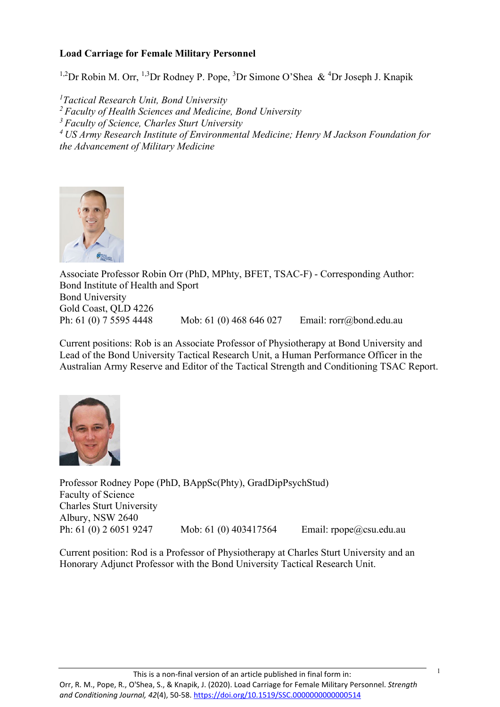# **Load Carriage for Female Military Personnel**

<sup>1,2</sup>Dr Robin M. Orr, <sup>1,3</sup>Dr Rodney P. Pope, <sup>3</sup>Dr Simone O'Shea & <sup>4</sup>Dr Joseph J. Knapik

 *Tactical Research Unit, Bond University Faculty of Health Sciences and Medicine, Bond University Faculty of Science, Charles Sturt University US Army Research Institute of Environmental Medicine; Henry M Jackson Foundation for the Advancement of Military Medicine*



Associate Professor Robin Orr (PhD, MPhty, BFET, TSAC-F) - Corresponding Author: Bond Institute of Health and Sport Bond University Gold Coast, QLD 4226 Ph: 61 (0) 7 5595 4448 Mob: 61 (0) 468 646 027 Email: [rorr@bond.edu.au](mailto:rorr@bond.edu.au)

Current positions: Rob is an Associate Professor of Physiotherapy at Bond University and Lead of the Bond University Tactical Research Unit, a Human Performance Officer in the Australian Army Reserve and Editor of the Tactical Strength and Conditioning TSAC Report.



Professor Rodney Pope (PhD, BAppSc(Phty), GradDipPsychStud) Faculty of Science Charles Sturt University Albury, NSW 2640 Ph: 61 (0) 2 6051 9247 Mob: 61 (0) 403417564 Email: [rpope@csu.edu.au](mailto:rpope@csu.edu.au)

Current position: Rod is a Professor of Physiotherapy at Charles Sturt University and an Honorary Adjunct Professor with the Bond University Tactical Research Unit.

1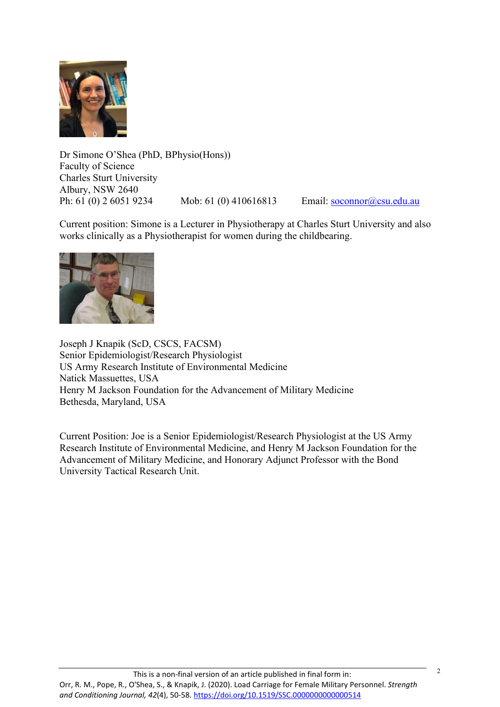

Dr Simone O'Shea (PhD, BPhysio(Hons)) Faculty of Science Charles Sturt University Albury, NSW 2640 Ph: 61 (0) 2 6051 9234 Mob: 61 (0) 410616813 Email: [soconnor@csu.edu.au](mailto:soconnor@csu.edu.au)

Current position: Simone is a Lecturer in Physiotherapy at Charles Sturt University and also works clinically as a Physiotherapist for women during the childbearing.



Joseph J Knapik (ScD, CSCS, FACSM) Senior Epidemiologist/Research Physiologist US Army Research Institute of Environmental Medicine Natick Massuettes, USA Henry M Jackson Foundation for the Advancement of Military Medicine Bethesda, Maryland, USA

Current Position: Joe is a Senior Epidemiologist/Research Physiologist at the US Army Research Institute of Environmental Medicine, and Henry M Jackson Foundation for the Advancement of Military Medicine, and Honorary Adjunct Professor with the Bond University Tactical Research Unit.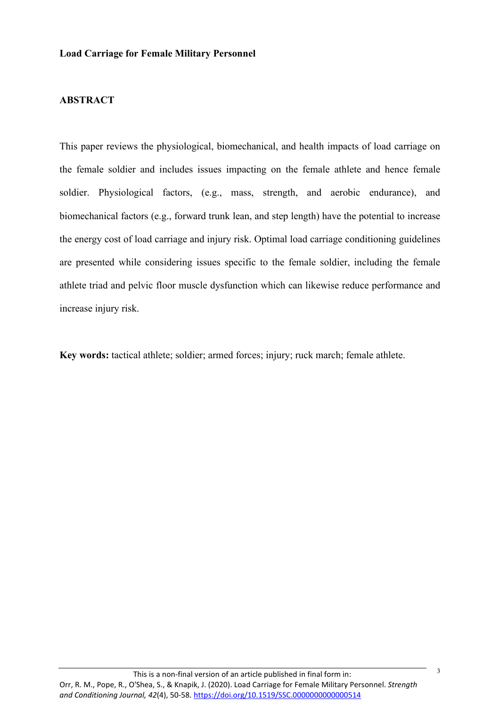## **Load Carriage for Female Military Personnel**

## **ABSTRACT**

This paper reviews the physiological, biomechanical, and health impacts of load carriage on the female soldier and includes issues impacting on the female athlete and hence female soldier. Physiological factors, (e.g., mass, strength, and aerobic endurance), and biomechanical factors (e.g., forward trunk lean, and step length) have the potential to increase the energy cost of load carriage and injury risk. Optimal load carriage conditioning guidelines are presented while considering issues specific to the female soldier, including the female athlete triad and pelvic floor muscle dysfunction which can likewise reduce performance and increase injury risk.

**Key words:** tactical athlete; soldier; armed forces; injury; ruck march; female athlete.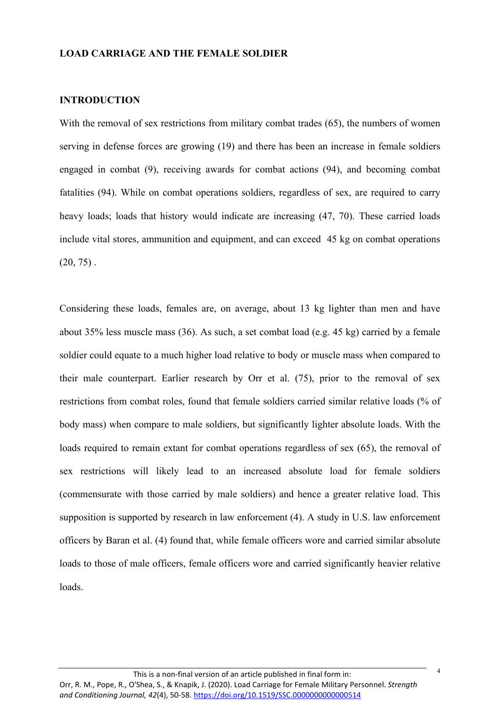## **LOAD CARRIAGE AND THE FEMALE SOLDIER**

### **INTRODUCTION**

With the removal of sex restrictions from military combat trades (65), the numbers of women serving in defense forces are growing (19) and there has been an increase in female soldiers engaged in combat (9), receiving awards for combat actions (94), and becoming combat fatalities (94). While on combat operations soldiers, regardless of sex, are required to carry heavy loads; loads that history would indicate are increasing (47, 70). These carried loads include vital stores, ammunition and equipment, and can exceed 45 kg on combat operations  $(20, 75)$ .

Considering these loads, females are, on average, about 13 kg lighter than men and have about 35% less muscle mass (36). As such, a set combat load (e.g. 45 kg) carried by a female soldier could equate to a much higher load relative to body or muscle mass when compared to their male counterpart. Earlier research by Orr et al. (75), prior to the removal of sex restrictions from combat roles, found that female soldiers carried similar relative loads (% of body mass) when compare to male soldiers, but significantly lighter absolute loads. With the loads required to remain extant for combat operations regardless of sex (65), the removal of sex restrictions will likely lead to an increased absolute load for female soldiers (commensurate with those carried by male soldiers) and hence a greater relative load. This supposition is supported by research in law enforcement (4). A study in U.S. law enforcement officers by Baran et al. (4) found that, while female officers wore and carried similar absolute loads to those of male officers, female officers wore and carried significantly heavier relative loads.

4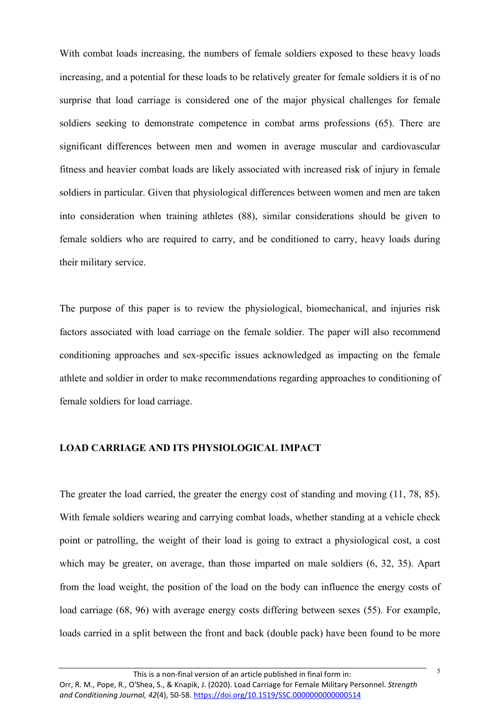With combat loads increasing, the numbers of female soldiers exposed to these heavy loads increasing, and a potential for these loads to be relatively greater for female soldiers it is of no surprise that load carriage is considered one of the major physical challenges for female soldiers seeking to demonstrate competence in combat arms professions (65). There are significant differences between men and women in average muscular and cardiovascular fitness and heavier combat loads are likely associated with increased risk of injury in female soldiers in particular. Given that physiological differences between women and men are taken into consideration when training athletes (88), similar considerations should be given to female soldiers who are required to carry, and be conditioned to carry, heavy loads during their military service.

The purpose of this paper is to review the physiological, biomechanical, and injuries risk factors associated with load carriage on the female soldier. The paper will also recommend conditioning approaches and sex-specific issues acknowledged as impacting on the female athlete and soldier in order to make recommendations regarding approaches to conditioning of female soldiers for load carriage.

# **LOAD CARRIAGE AND ITS PHYSIOLOGICAL IMPACT**

The greater the load carried, the greater the energy cost of standing and moving (11, 78, 85). With female soldiers wearing and carrying combat loads, whether standing at a vehicle check point or patrolling, the weight of their load is going to extract a physiological cost, a cost which may be greater, on average, than those imparted on male soldiers (6, 32, 35). Apart from the load weight, the position of the load on the body can influence the energy costs of load carriage (68, 96) with average energy costs differing between sexes (55). For example, loads carried in a split between the front and back (double pack) have been found to be more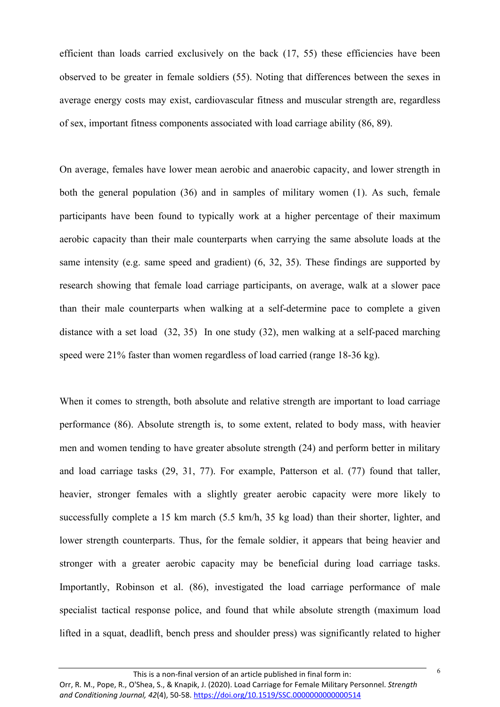efficient than loads carried exclusively on the back (17, 55) these efficiencies have been observed to be greater in female soldiers (55). Noting that differences between the sexes in average energy costs may exist, cardiovascular fitness and muscular strength are, regardless of sex, important fitness components associated with load carriage ability (86, 89).

On average, females have lower mean aerobic and anaerobic capacity, and lower strength in both the general population (36) and in samples of military women (1). As such, female participants have been found to typically work at a higher percentage of their maximum aerobic capacity than their male counterparts when carrying the same absolute loads at the same intensity (e.g. same speed and gradient) (6, 32, 35). These findings are supported by research showing that female load carriage participants, on average, walk at a slower pace than their male counterparts when walking at a self-determine pace to complete a given distance with a set load (32, 35) In one study (32), men walking at a self-paced marching speed were 21% faster than women regardless of load carried (range 18-36 kg).

When it comes to strength, both absolute and relative strength are important to load carriage performance (86). Absolute strength is, to some extent, related to body mass, with heavier men and women tending to have greater absolute strength (24) and perform better in military and load carriage tasks (29, 31, 77). For example, Patterson et al. (77) found that taller, heavier, stronger females with a slightly greater aerobic capacity were more likely to successfully complete a 15 km march (5.5 km/h, 35 kg load) than their shorter, lighter, and lower strength counterparts. Thus, for the female soldier, it appears that being heavier and stronger with a greater aerobic capacity may be beneficial during load carriage tasks. Importantly, Robinson et al. (86), investigated the load carriage performance of male specialist tactical response police, and found that while absolute strength (maximum load lifted in a squat, deadlift, bench press and shoulder press) was significantly related to higher

This is a non-final version of an article published in final form in:

Orr, R. M., Pope, R., O'Shea, S., & Knapik, J. (2020). Load Carriage for Female Military Personnel. *Strength and Conditioning Journal, 42*(4), 50-58[. https://doi.org/10.1519/SSC.0000000000000514](https://doi.org/10.1519/SSC.0000000000000514)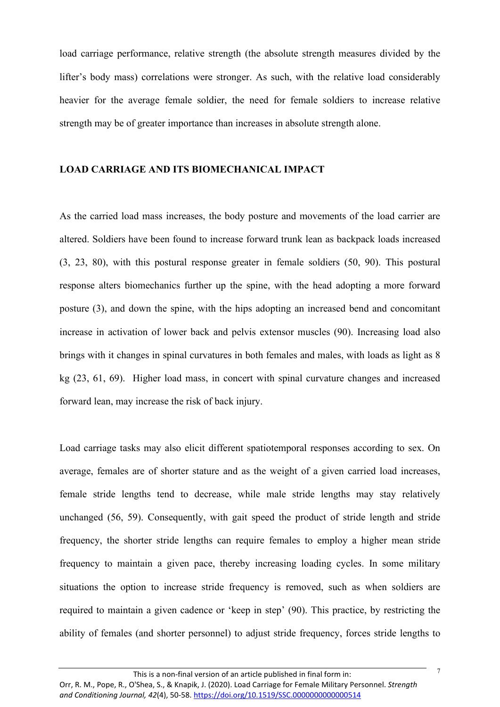load carriage performance, relative strength (the absolute strength measures divided by the lifter's body mass) correlations were stronger. As such, with the relative load considerably heavier for the average female soldier, the need for female soldiers to increase relative strength may be of greater importance than increases in absolute strength alone.

### **LOAD CARRIAGE AND ITS BIOMECHANICAL IMPACT**

As the carried load mass increases, the body posture and movements of the load carrier are altered. Soldiers have been found to increase forward trunk lean as backpack loads increased (3, 23, 80), with this postural response greater in female soldiers (50, 90). This postural response alters biomechanics further up the spine, with the head adopting a more forward posture (3), and down the spine, with the hips adopting an increased bend and concomitant increase in activation of lower back and pelvis extensor muscles (90). Increasing load also brings with it changes in spinal curvatures in both females and males, with loads as light as 8 kg (23, 61, 69). Higher load mass, in concert with spinal curvature changes and increased forward lean, may increase the risk of back injury.

Load carriage tasks may also elicit different spatiotemporal responses according to sex. On average, females are of shorter stature and as the weight of a given carried load increases, female stride lengths tend to decrease, while male stride lengths may stay relatively unchanged (56, 59). Consequently, with gait speed the product of stride length and stride frequency, the shorter stride lengths can require females to employ a higher mean stride frequency to maintain a given pace, thereby increasing loading cycles. In some military situations the option to increase stride frequency is removed, such as when soldiers are required to maintain a given cadence or 'keep in step' (90). This practice, by restricting the ability of females (and shorter personnel) to adjust stride frequency, forces stride lengths to

Orr, R. M., Pope, R., O'Shea, S., & Knapik, J. (2020). Load Carriage for Female Military Personnel. *Strength and Conditioning Journal, 42*(4), 50-58[. https://doi.org/10.1519/SSC.0000000000000514](https://doi.org/10.1519/SSC.0000000000000514)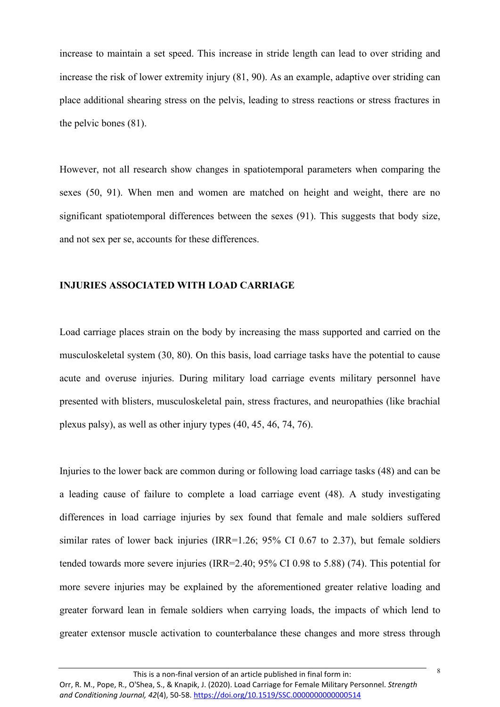increase to maintain a set speed. This increase in stride length can lead to over striding and increase the risk of lower extremity injury (81, 90). As an example, adaptive over striding can place additional shearing stress on the pelvis, leading to stress reactions or stress fractures in the pelvic bones (81).

However, not all research show changes in spatiotemporal parameters when comparing the sexes (50, 91). When men and women are matched on height and weight, there are no significant spatiotemporal differences between the sexes (91). This suggests that body size, and not sex per se, accounts for these differences.

#### **INJURIES ASSOCIATED WITH LOAD CARRIAGE**

Load carriage places strain on the body by increasing the mass supported and carried on the musculoskeletal system (30, 80). On this basis, load carriage tasks have the potential to cause acute and overuse injuries. During military load carriage events military personnel have presented with blisters, musculoskeletal pain, stress fractures, and neuropathies (like brachial plexus palsy), as well as other injury types (40, 45, 46, 74, 76).

Injuries to the lower back are common during or following load carriage tasks (48) and can be a leading cause of failure to complete a load carriage event (48). A study investigating differences in load carriage injuries by sex found that female and male soldiers suffered similar rates of lower back injuries (IRR=1.26; 95% CI 0.67 to 2.37), but female soldiers tended towards more severe injuries (IRR=2.40; 95% CI 0.98 to 5.88) (74). This potential for more severe injuries may be explained by the aforementioned greater relative loading and greater forward lean in female soldiers when carrying loads, the impacts of which lend to greater extensor muscle activation to counterbalance these changes and more stress through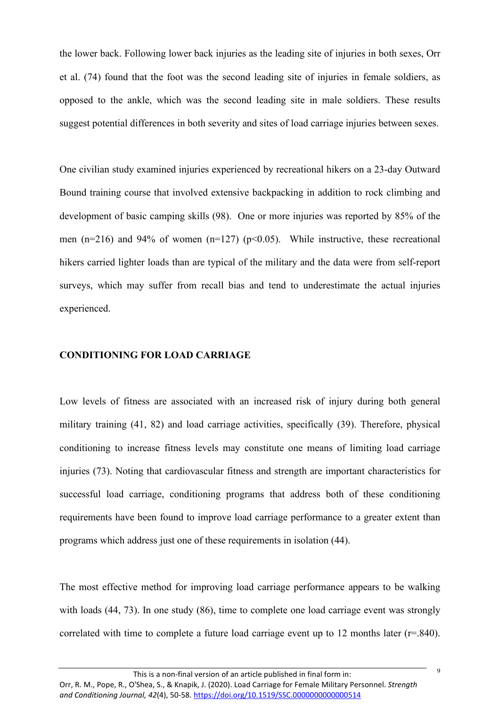the lower back. Following lower back injuries as the leading site of injuries in both sexes, Orr et al. (74) found that the foot was the second leading site of injuries in female soldiers, as opposed to the ankle, which was the second leading site in male soldiers. These results suggest potential differences in both severity and sites of load carriage injuries between sexes.

One civilian study examined injuries experienced by recreational hikers on a 23-day Outward Bound training course that involved extensive backpacking in addition to rock climbing and development of basic camping skills (98). One or more injuries was reported by 85% of the men (n=216) and 94% of women (n=127) ( $p<0.05$ ). While instructive, these recreational hikers carried lighter loads than are typical of the military and the data were from self-report surveys, which may suffer from recall bias and tend to underestimate the actual injuries experienced.

## **CONDITIONING FOR LOAD CARRIAGE**

Low levels of fitness are associated with an increased risk of injury during both general military training (41, 82) and load carriage activities, specifically (39). Therefore, physical conditioning to increase fitness levels may constitute one means of limiting load carriage injuries (73). Noting that cardiovascular fitness and strength are important characteristics for successful load carriage, conditioning programs that address both of these conditioning requirements have been found to improve load carriage performance to a greater extent than programs which address just one of these requirements in isolation (44).

The most effective method for improving load carriage performance appears to be walking with loads (44, 73). In one study (86), time to complete one load carriage event was strongly correlated with time to complete a future load carriage event up to 12 months later (r=.840).

Orr, R. M., Pope, R., O'Shea, S., & Knapik, J. (2020). Load Carriage for Female Military Personnel. *Strength and Conditioning Journal, 42*(4), 50-58[. https://doi.org/10.1519/SSC.0000000000000514](https://doi.org/10.1519/SSC.0000000000000514)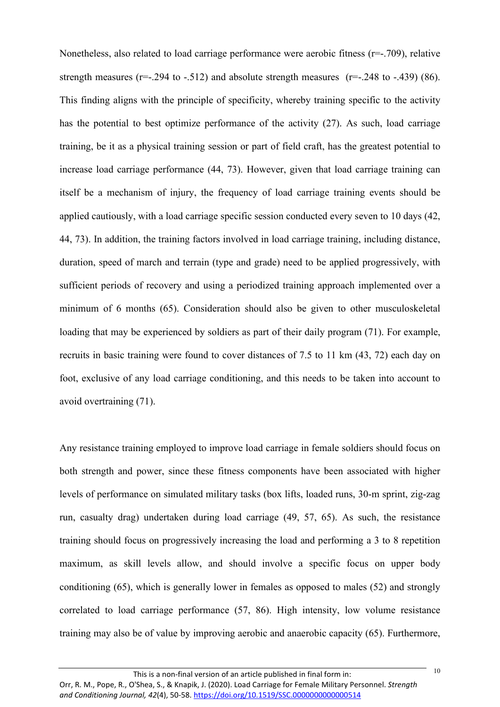Nonetheless, also related to load carriage performance were aerobic fitness (r=-.709), relative strength measures ( $r=-.294$  to  $-.512$ ) and absolute strength measures ( $r=-.248$  to  $-.439$ ) (86). This finding aligns with the principle of specificity, whereby training specific to the activity has the potential to best optimize performance of the activity (27). As such, load carriage training, be it as a physical training session or part of field craft, has the greatest potential to increase load carriage performance (44, 73). However, given that load carriage training can itself be a mechanism of injury, the frequency of load carriage training events should be applied cautiously, with a load carriage specific session conducted every seven to 10 days (42, 44, 73). In addition, the training factors involved in load carriage training, including distance, duration, speed of march and terrain (type and grade) need to be applied progressively, with sufficient periods of recovery and using a periodized training approach implemented over a minimum of 6 months (65). Consideration should also be given to other musculoskeletal loading that may be experienced by soldiers as part of their daily program (71). For example, recruits in basic training were found to cover distances of 7.5 to 11 km (43, 72) each day on foot, exclusive of any load carriage conditioning, and this needs to be taken into account to avoid overtraining (71).

Any resistance training employed to improve load carriage in female soldiers should focus on both strength and power, since these fitness components have been associated with higher levels of performance on simulated military tasks (box lifts, loaded runs, 30-m sprint, zig-zag run, casualty drag) undertaken during load carriage (49, 57, 65). As such, the resistance training should focus on progressively increasing the load and performing a 3 to 8 repetition maximum, as skill levels allow, and should involve a specific focus on upper body conditioning (65), which is generally lower in females as opposed to males (52) and strongly correlated to load carriage performance (57, 86). High intensity, low volume resistance training may also be of value by improving aerobic and anaerobic capacity (65). Furthermore,

Orr, R. M., Pope, R., O'Shea, S., & Knapik, J. (2020). Load Carriage for Female Military Personnel. *Strength and Conditioning Journal, 42*(4), 50-58[. https://doi.org/10.1519/SSC.0000000000000514](https://doi.org/10.1519/SSC.0000000000000514)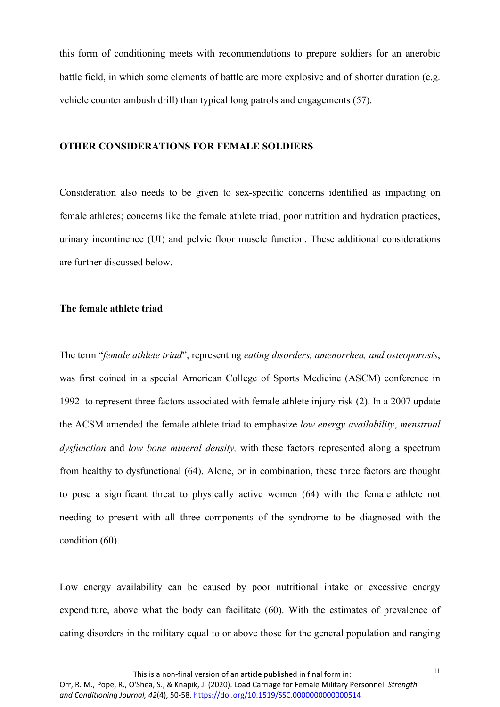this form of conditioning meets with recommendations to prepare soldiers for an anerobic battle field, in which some elements of battle are more explosive and of shorter duration (e.g. vehicle counter ambush drill) than typical long patrols and engagements (57).

### **OTHER CONSIDERATIONS FOR FEMALE SOLDIERS**

Consideration also needs to be given to sex-specific concerns identified as impacting on female athletes; concerns like the female athlete triad, poor nutrition and hydration practices, urinary incontinence (UI) and pelvic floor muscle function. These additional considerations are further discussed below.

## **The female athlete triad**

The term "*female athlete triad*", representing *eating disorders, amenorrhea, and osteoporosis*, was first coined in a special American College of Sports Medicine (ASCM) conference in 1992 to represent three factors associated with female athlete injury risk (2). In a 2007 update the ACSM amended the female athlete triad to emphasize *low energy availability*, *menstrual dysfunction* and *low bone mineral density,* with these factors represented along a spectrum from healthy to dysfunctional (64). Alone, or in combination, these three factors are thought to pose a significant threat to physically active women (64) with the female athlete not needing to present with all three components of the syndrome to be diagnosed with the condition (60).

Low energy availability can be caused by poor nutritional intake or excessive energy expenditure, above what the body can facilitate (60). With the estimates of prevalence of eating disorders in the military equal to or above those for the general population and ranging

This is a non-final version of an article published in final form in:

Orr, R. M., Pope, R., O'Shea, S., & Knapik, J. (2020). Load Carriage for Female Military Personnel. *Strength and Conditioning Journal, 42*(4), 50-58[. https://doi.org/10.1519/SSC.0000000000000514](https://doi.org/10.1519/SSC.0000000000000514)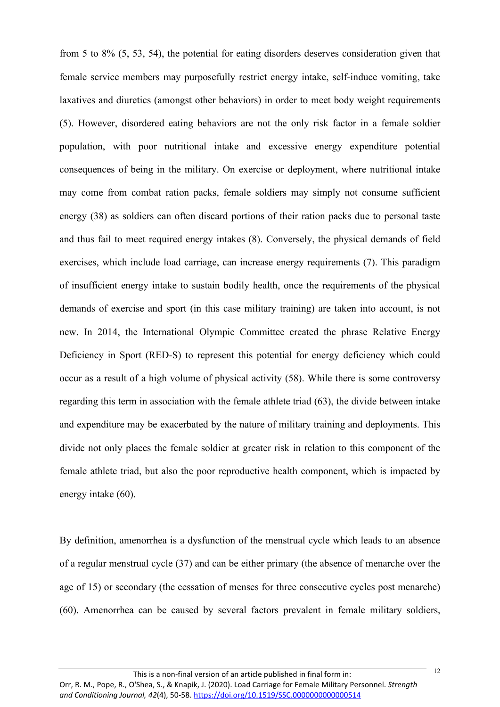from 5 to 8% (5, 53, 54), the potential for eating disorders deserves consideration given that female service members may purposefully restrict energy intake, self-induce vomiting, take laxatives and diuretics (amongst other behaviors) in order to meet body weight requirements (5). However, disordered eating behaviors are not the only risk factor in a female soldier population, with poor nutritional intake and excessive energy expenditure potential consequences of being in the military. On exercise or deployment, where nutritional intake may come from combat ration packs, female soldiers may simply not consume sufficient energy (38) as soldiers can often discard portions of their ration packs due to personal taste and thus fail to meet required energy intakes (8). Conversely, the physical demands of field exercises, which include load carriage, can increase energy requirements (7). This paradigm of insufficient energy intake to sustain bodily health, once the requirements of the physical demands of exercise and sport (in this case military training) are taken into account, is not new. In 2014, the International Olympic Committee created the phrase Relative Energy Deficiency in Sport (RED-S) to represent this potential for energy deficiency which could occur as a result of a high volume of physical activity (58). While there is some controversy regarding this term in association with the female athlete triad (63), the divide between intake and expenditure may be exacerbated by the nature of military training and deployments. This divide not only places the female soldier at greater risk in relation to this component of the female athlete triad, but also the poor reproductive health component, which is impacted by energy intake (60).

By definition, amenorrhea is a dysfunction of the menstrual cycle which leads to an absence of a regular menstrual cycle (37) and can be either primary (the absence of menarche over the age of 15) or secondary (the cessation of menses for three consecutive cycles post menarche) (60). Amenorrhea can be caused by several factors prevalent in female military soldiers,

Orr, R. M., Pope, R., O'Shea, S., & Knapik, J. (2020). Load Carriage for Female Military Personnel. *Strength and Conditioning Journal, 42*(4), 50-58[. https://doi.org/10.1519/SSC.0000000000000514](https://doi.org/10.1519/SSC.0000000000000514)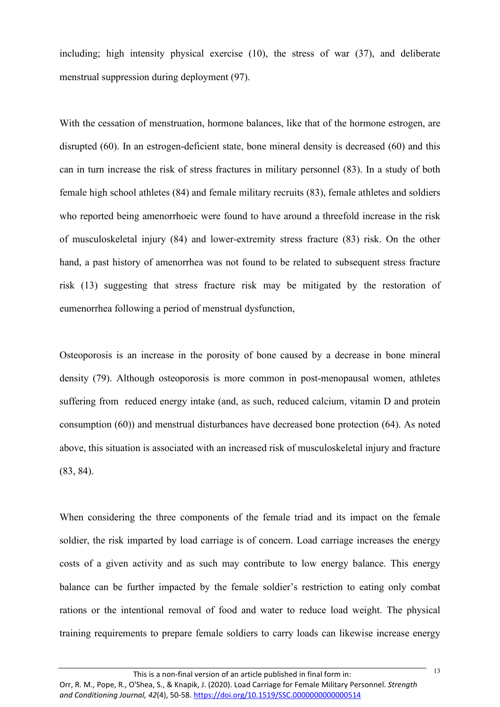including; high intensity physical exercise (10), the stress of war (37), and deliberate menstrual suppression during deployment (97).

With the cessation of menstruation, hormone balances, like that of the hormone estrogen, are disrupted (60). In an estrogen-deficient state, bone mineral density is decreased (60) and this can in turn increase the risk of stress fractures in military personnel (83). In a study of both female high school athletes (84) and female military recruits (83), female athletes and soldiers who reported being amenorrhoeic were found to have around a threefold increase in the risk of musculoskeletal injury (84) and lower-extremity stress fracture (83) risk. On the other hand, a past history of amenorrhea was not found to be related to subsequent stress fracture risk (13) suggesting that stress fracture risk may be mitigated by the restoration of eumenorrhea following a period of menstrual dysfunction,

Osteoporosis is an increase in the porosity of bone caused by a decrease in bone mineral density (79). Although osteoporosis is more common in post-menopausal women, athletes suffering from reduced energy intake (and, as such, reduced calcium, vitamin D and protein consumption (60)) and menstrual disturbances have decreased bone protection (64). As noted above, this situation is associated with an increased risk of musculoskeletal injury and fracture (83, 84).

When considering the three components of the female triad and its impact on the female soldier, the risk imparted by load carriage is of concern. Load carriage increases the energy costs of a given activity and as such may contribute to low energy balance. This energy balance can be further impacted by the female soldier's restriction to eating only combat rations or the intentional removal of food and water to reduce load weight. The physical training requirements to prepare female soldiers to carry loads can likewise increase energy

This is a non-final version of an article published in final form in:

Orr, R. M., Pope, R., O'Shea, S., & Knapik, J. (2020). Load Carriage for Female Military Personnel. *Strength and Conditioning Journal, 42*(4), 50-58[. https://doi.org/10.1519/SSC.0000000000000514](https://doi.org/10.1519/SSC.0000000000000514)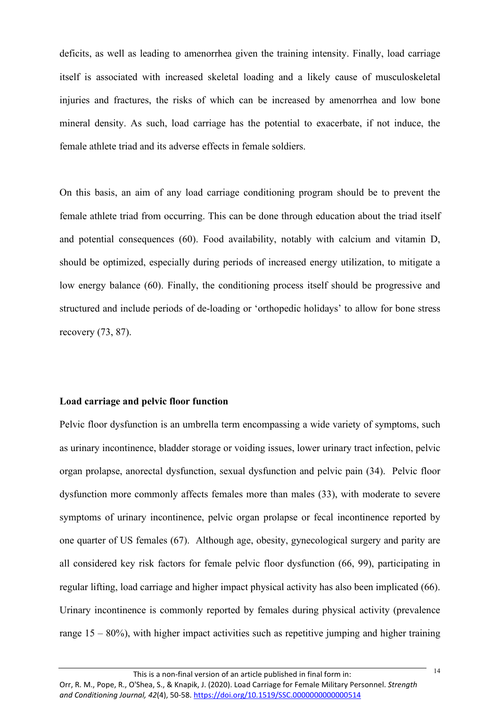deficits, as well as leading to amenorrhea given the training intensity. Finally, load carriage itself is associated with increased skeletal loading and a likely cause of musculoskeletal injuries and fractures, the risks of which can be increased by amenorrhea and low bone mineral density. As such, load carriage has the potential to exacerbate, if not induce, the female athlete triad and its adverse effects in female soldiers.

On this basis, an aim of any load carriage conditioning program should be to prevent the female athlete triad from occurring. This can be done through education about the triad itself and potential consequences (60). Food availability, notably with calcium and vitamin D, should be optimized, especially during periods of increased energy utilization, to mitigate a low energy balance (60). Finally, the conditioning process itself should be progressive and structured and include periods of de-loading or 'orthopedic holidays' to allow for bone stress recovery (73, 87).

## **Load carriage and pelvic floor function**

Pelvic floor dysfunction is an umbrella term encompassing a wide variety of symptoms, such as urinary incontinence, bladder storage or voiding issues, lower urinary tract infection, pelvic organ prolapse, anorectal dysfunction, sexual dysfunction and pelvic pain (34). Pelvic floor dysfunction more commonly affects females more than males (33), with moderate to severe symptoms of urinary incontinence, pelvic organ prolapse or fecal incontinence reported by one quarter of US females (67). Although age, obesity, gynecological surgery and parity are all considered key risk factors for female pelvic floor dysfunction (66, 99), participating in regular lifting, load carriage and higher impact physical activity has also been implicated (66). Urinary incontinence is commonly reported by females during physical activity (prevalence range  $15 - 80\%$ ), with higher impact activities such as repetitive jumping and higher training

Orr, R. M., Pope, R., O'Shea, S., & Knapik, J. (2020). Load Carriage for Female Military Personnel. *Strength and Conditioning Journal, 42*(4), 50-58[. https://doi.org/10.1519/SSC.0000000000000514](https://doi.org/10.1519/SSC.0000000000000514)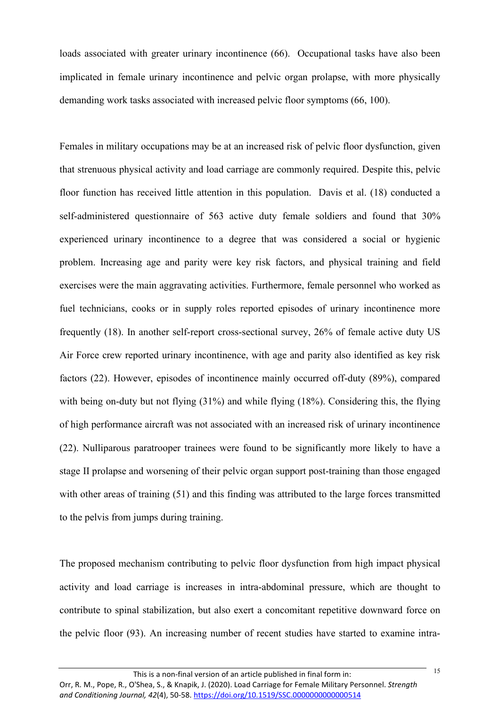loads associated with greater urinary incontinence (66). Occupational tasks have also been implicated in female urinary incontinence and pelvic organ prolapse, with more physically demanding work tasks associated with increased pelvic floor symptoms (66, 100).

Females in military occupations may be at an increased risk of pelvic floor dysfunction, given that strenuous physical activity and load carriage are commonly required. Despite this, pelvic floor function has received little attention in this population. Davis et al. (18) conducted a self-administered questionnaire of 563 active duty female soldiers and found that 30% experienced urinary incontinence to a degree that was considered a social or hygienic problem. Increasing age and parity were key risk factors, and physical training and field exercises were the main aggravating activities. Furthermore, female personnel who worked as fuel technicians, cooks or in supply roles reported episodes of urinary incontinence more frequently (18). In another self-report cross-sectional survey, 26% of female active duty US Air Force crew reported urinary incontinence, with age and parity also identified as key risk factors (22). However, episodes of incontinence mainly occurred off-duty (89%), compared with being on-duty but not flying (31%) and while flying (18%). Considering this, the flying of high performance aircraft was not associated with an increased risk of urinary incontinence (22). Nulliparous paratrooper trainees were found to be significantly more likely to have a stage II prolapse and worsening of their pelvic organ support post-training than those engaged with other areas of training (51) and this finding was attributed to the large forces transmitted to the pelvis from jumps during training.

The proposed mechanism contributing to pelvic floor dysfunction from high impact physical activity and load carriage is increases in intra-abdominal pressure, which are thought to contribute to spinal stabilization, but also exert a concomitant repetitive downward force on the pelvic floor (93). An increasing number of recent studies have started to examine intra-

Orr, R. M., Pope, R., O'Shea, S., & Knapik, J. (2020). Load Carriage for Female Military Personnel. *Strength and Conditioning Journal, 42*(4), 50-58[. https://doi.org/10.1519/SSC.0000000000000514](https://doi.org/10.1519/SSC.0000000000000514)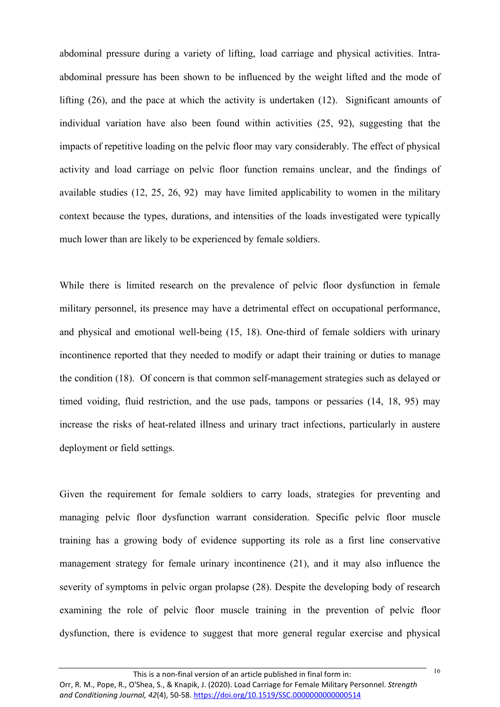abdominal pressure during a variety of lifting, load carriage and physical activities. Intraabdominal pressure has been shown to be influenced by the weight lifted and the mode of lifting (26), and the pace at which the activity is undertaken (12). Significant amounts of individual variation have also been found within activities (25, 92), suggesting that the impacts of repetitive loading on the pelvic floor may vary considerably. The effect of physical activity and load carriage on pelvic floor function remains unclear, and the findings of available studies (12, 25, 26, 92) may have limited applicability to women in the military context because the types, durations, and intensities of the loads investigated were typically much lower than are likely to be experienced by female soldiers.

While there is limited research on the prevalence of pelvic floor dysfunction in female military personnel, its presence may have a detrimental effect on occupational performance, and physical and emotional well-being (15, 18). One-third of female soldiers with urinary incontinence reported that they needed to modify or adapt their training or duties to manage the condition (18). Of concern is that common self-management strategies such as delayed or timed voiding, fluid restriction, and the use pads, tampons or pessaries (14, 18, 95) may increase the risks of heat-related illness and urinary tract infections, particularly in austere deployment or field settings.

Given the requirement for female soldiers to carry loads, strategies for preventing and managing pelvic floor dysfunction warrant consideration. Specific pelvic floor muscle training has a growing body of evidence supporting its role as a first line conservative management strategy for female urinary incontinence (21), and it may also influence the severity of symptoms in pelvic organ prolapse (28). Despite the developing body of research examining the role of pelvic floor muscle training in the prevention of pelvic floor dysfunction, there is evidence to suggest that more general regular exercise and physical

Orr, R. M., Pope, R., O'Shea, S., & Knapik, J. (2020). Load Carriage for Female Military Personnel. *Strength and Conditioning Journal, 42*(4), 50-58[. https://doi.org/10.1519/SSC.0000000000000514](https://doi.org/10.1519/SSC.0000000000000514)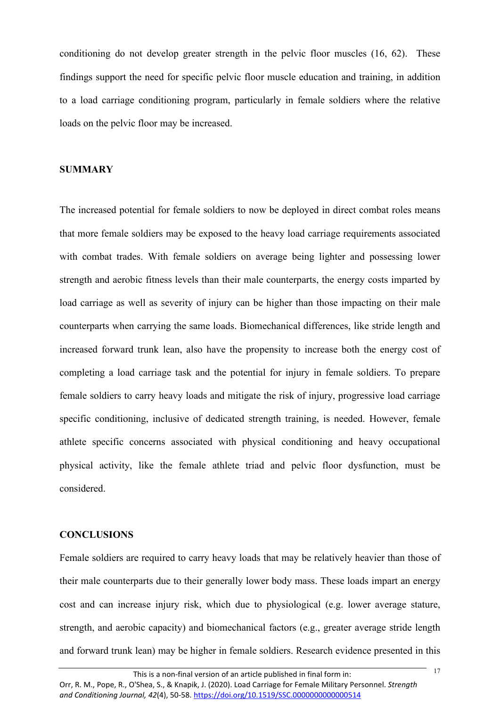conditioning do not develop greater strength in the pelvic floor muscles (16, 62). These findings support the need for specific pelvic floor muscle education and training, in addition to a load carriage conditioning program, particularly in female soldiers where the relative loads on the pelvic floor may be increased.

### **SUMMARY**

The increased potential for female soldiers to now be deployed in direct combat roles means that more female soldiers may be exposed to the heavy load carriage requirements associated with combat trades. With female soldiers on average being lighter and possessing lower strength and aerobic fitness levels than their male counterparts, the energy costs imparted by load carriage as well as severity of injury can be higher than those impacting on their male counterparts when carrying the same loads. Biomechanical differences, like stride length and increased forward trunk lean, also have the propensity to increase both the energy cost of completing a load carriage task and the potential for injury in female soldiers. To prepare female soldiers to carry heavy loads and mitigate the risk of injury, progressive load carriage specific conditioning, inclusive of dedicated strength training, is needed. However, female athlete specific concerns associated with physical conditioning and heavy occupational physical activity, like the female athlete triad and pelvic floor dysfunction, must be considered.

### **CONCLUSIONS**

Female soldiers are required to carry heavy loads that may be relatively heavier than those of their male counterparts due to their generally lower body mass. These loads impart an energy cost and can increase injury risk, which due to physiological (e.g. lower average stature, strength, and aerobic capacity) and biomechanical factors (e.g., greater average stride length and forward trunk lean) may be higher in female soldiers. Research evidence presented in this

This is a non-final version of an article published in final form in:

Orr, R. M., Pope, R., O'Shea, S., & Knapik, J. (2020). Load Carriage for Female Military Personnel. *Strength and Conditioning Journal, 42*(4), 50-58[. https://doi.org/10.1519/SSC.0000000000000514](https://doi.org/10.1519/SSC.0000000000000514)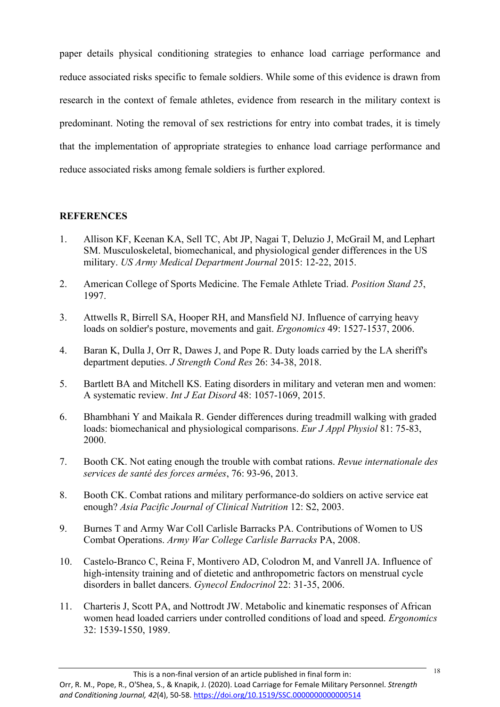paper details physical conditioning strategies to enhance load carriage performance and reduce associated risks specific to female soldiers. While some of this evidence is drawn from research in the context of female athletes, evidence from research in the military context is predominant. Noting the removal of sex restrictions for entry into combat trades, it is timely that the implementation of appropriate strategies to enhance load carriage performance and reduce associated risks among female soldiers is further explored.

# **REFERENCES**

- 1. Allison KF, Keenan KA, Sell TC, Abt JP, Nagai T, Deluzio J, McGrail M, and Lephart SM. Musculoskeletal, biomechanical, and physiological gender differences in the US military. *US Army Medical Department Journal* 2015: 12-22, 2015.
- 2. American College of Sports Medicine. The Female Athlete Triad. *Position Stand 25*, 1997.
- 3. Attwells R, Birrell SA, Hooper RH, and Mansfield NJ. Influence of carrying heavy loads on soldier's posture, movements and gait. *Ergonomics* 49: 1527-1537, 2006.
- 4. Baran K, Dulla J, Orr R, Dawes J, and Pope R. Duty loads carried by the LA sheriff's department deputies. *J Strength Cond Res* 26: 34-38, 2018.
- 5. Bartlett BA and Mitchell KS. Eating disorders in military and veteran men and women: A systematic review. *Int J Eat Disord* 48: 1057-1069, 2015.
- 6. Bhambhani Y and Maikala R. Gender differences during treadmill walking with graded loads: biomechanical and physiological comparisons. *Eur J Appl Physiol* 81: 75-83, 2000.
- 7. Booth CK. Not eating enough the trouble with combat rations. *Revue internationale des services de santé des forces armées*, 76: 93-96, 2013.
- 8. Booth CK. Combat rations and military performance-do soldiers on active service eat enough? *Asia Pacific Journal of Clinical Nutrition* 12: S2, 2003.
- 9. Burnes T and Army War Coll Carlisle Barracks PA. Contributions of Women to US Combat Operations. *Army War College Carlisle Barracks* PA, 2008.
- 10. Castelo-Branco C, Reina F, Montivero AD, Colodron M, and Vanrell JA. Influence of high-intensity training and of dietetic and anthropometric factors on menstrual cycle disorders in ballet dancers. *Gynecol Endocrinol* 22: 31-35, 2006.
- 11. Charteris J, Scott PA, and Nottrodt JW. Metabolic and kinematic responses of African women head loaded carriers under controlled conditions of load and speed. *Ergonomics*  32: 1539-1550, 1989.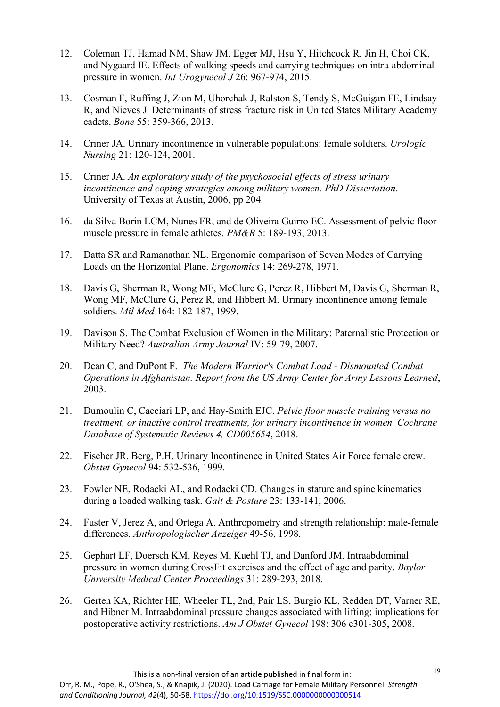- 12. Coleman TJ, Hamad NM, Shaw JM, Egger MJ, Hsu Y, Hitchcock R, Jin H, Choi CK, and Nygaard IE. Effects of walking speeds and carrying techniques on intra-abdominal pressure in women. *Int Urogynecol J* 26: 967-974, 2015.
- 13. Cosman F, Ruffing J, Zion M, Uhorchak J, Ralston S, Tendy S, McGuigan FE, Lindsay R, and Nieves J. Determinants of stress fracture risk in United States Military Academy cadets. *Bone* 55: 359-366, 2013.
- 14. Criner JA. Urinary incontinence in vulnerable populations: female soldiers. *Urologic Nursing* 21: 120-124, 2001.
- 15. Criner JA. *An exploratory study of the psychosocial effects of stress urinary incontinence and coping strategies among military women. PhD Dissertation.* University of Texas at Austin, 2006, pp 204.
- 16. da Silva Borin LCM, Nunes FR, and de Oliveira Guirro EC. Assessment of pelvic floor muscle pressure in female athletes. *PM&R* 5: 189-193, 2013.
- 17. Datta SR and Ramanathan NL. Ergonomic comparison of Seven Modes of Carrying Loads on the Horizontal Plane. *Ergonomics* 14: 269-278, 1971.
- 18. Davis G, Sherman R, Wong MF, McClure G, Perez R, Hibbert M, Davis G, Sherman R, Wong MF, McClure G, Perez R, and Hibbert M. Urinary incontinence among female soldiers. *Mil Med* 164: 182-187, 1999.
- 19. Davison S. The Combat Exclusion of Women in the Military: Paternalistic Protection or Military Need? *Australian Army Journal* IV: 59-79, 2007.
- 20. Dean C, and DuPont F. *The Modern Warrior's Combat Load - Dismounted Combat Operations in Afghanistan. Report from the US Army Center for Army Lessons Learned*, 2003.
- 21. Dumoulin C, Cacciari LP, and Hay‐Smith EJC. *Pelvic floor muscle training versus no treatment, or inactive control treatments, for urinary incontinence in women. Cochrane Database of Systematic Reviews 4, CD005654*, 2018.
- 22. Fischer JR, Berg, P.H. Urinary Incontinence in United States Air Force female crew. *Obstet Gynecol* 94: 532-536, 1999.
- 23. Fowler NE, Rodacki AL, and Rodacki CD. Changes in stature and spine kinematics during a loaded walking task. *Gait & Posture* 23: 133-141, 2006.
- 24. Fuster V, Jerez A, and Ortega A. Anthropometry and strength relationship: male-female differences. *Anthropologischer Anzeiger* 49-56, 1998.
- 25. Gephart LF, Doersch KM, Reyes M, Kuehl TJ, and Danford JM. Intraabdominal pressure in women during CrossFit exercises and the effect of age and parity. *Baylor University Medical Center Proceedings* 31: 289-293, 2018.
- 26. Gerten KA, Richter HE, Wheeler TL, 2nd, Pair LS, Burgio KL, Redden DT, Varner RE, and Hibner M. Intraabdominal pressure changes associated with lifting: implications for postoperative activity restrictions. *Am J Obstet Gynecol* 198: 306 e301-305, 2008.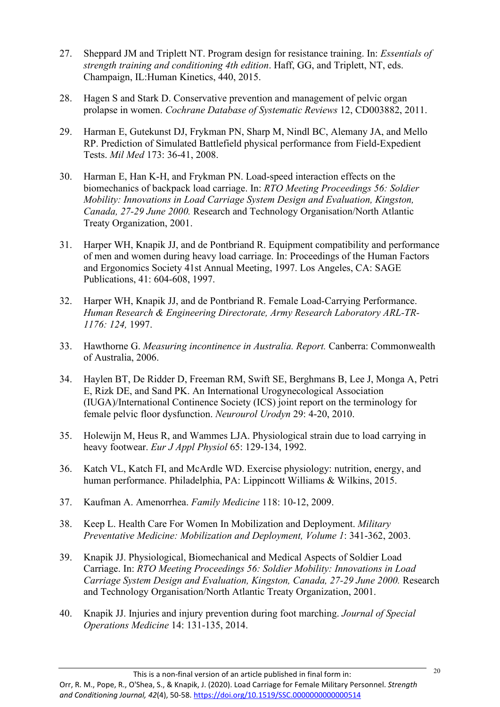- 27. Sheppard JM and Triplett NT. Program design for resistance training. In: *Essentials of strength training and conditioning 4th edition*. Haff, GG, and Triplett, NT, eds. Champaign, IL:Human Kinetics, 440, 2015.
- 28. Hagen S and Stark D. Conservative prevention and management of pelvic organ prolapse in women. *Cochrane Database of Systematic Reviews* 12, CD003882, 2011.
- 29. Harman E, Gutekunst DJ, Frykman PN, Sharp M, Nindl BC, Alemany JA, and Mello RP. Prediction of Simulated Battlefield physical performance from Field-Expedient Tests. *Mil Med* 173: 36-41, 2008.
- 30. Harman E, Han K-H, and Frykman PN. Load-speed interaction effects on the biomechanics of backpack load carriage. In: *RTO Meeting Proceedings 56: Soldier Mobility: Innovations in Load Carriage System Design and Evaluation, Kingston, Canada, 27-29 June 2000.* Research and Technology Organisation/North Atlantic Treaty Organization, 2001.
- 31. Harper WH, Knapik JJ, and de Pontbriand R. Equipment compatibility and performance of men and women during heavy load carriage. In: Proceedings of the Human Factors and Ergonomics Society 41st Annual Meeting, 1997. Los Angeles, CA: SAGE Publications, 41: 604-608, 1997.
- 32. Harper WH, Knapik JJ, and de Pontbriand R. Female Load-Carrying Performance. *Human Research & Engineering Directorate, Army Research Laboratory ARL-TR-1176: 124,* 1997.
- 33. Hawthorne G. *Measuring incontinence in Australia. Report.* Canberra: Commonwealth of Australia, 2006.
- 34. Haylen BT, De Ridder D, Freeman RM, Swift SE, Berghmans B, Lee J, Monga A, Petri E, Rizk DE, and Sand PK. An International Urogynecological Association (IUGA)/International Continence Society (ICS) joint report on the terminology for female pelvic floor dysfunction. *Neurourol Urodyn* 29: 4-20, 2010.
- 35. Holewijn M, Heus R, and Wammes LJA. Physiological strain due to load carrying in heavy footwear. *Eur J Appl Physiol* 65: 129-134, 1992.
- 36. Katch VL, Katch FI, and McArdle WD. Exercise physiology: nutrition, energy, and human performance. Philadelphia, PA: Lippincott Williams & Wilkins, 2015.
- 37. Kaufman A. Amenorrhea. *Family Medicine* 118: 10-12, 2009.
- 38. Keep L. Health Care For Women In Mobilization and Deployment. *Military Preventative Medicine: Mobilization and Deployment, Volume 1*: 341-362, 2003.
- 39. Knapik JJ. Physiological, Biomechanical and Medical Aspects of Soldier Load Carriage. In: *RTO Meeting Proceedings 56: Soldier Mobility: Innovations in Load Carriage System Design and Evaluation, Kingston, Canada, 27-29 June 2000.* Research and Technology Organisation/North Atlantic Treaty Organization, 2001.
- 40. Knapik JJ. Injuries and injury prevention during foot marching. *Journal of Special Operations Medicine* 14: 131-135, 2014.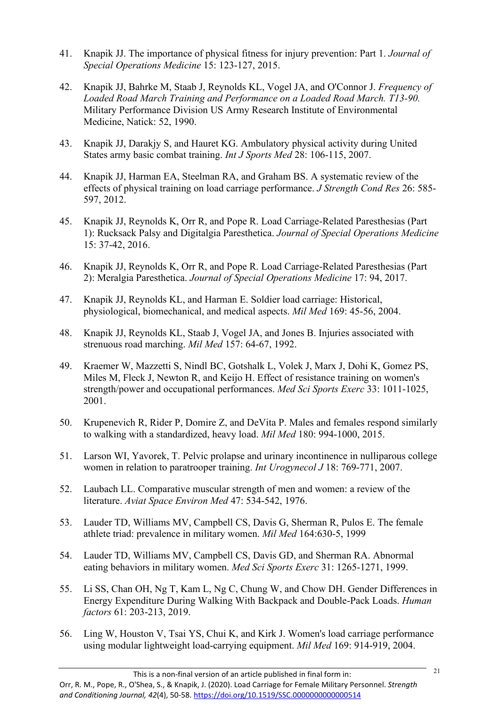- 41. Knapik JJ. The importance of physical fitness for injury prevention: Part 1. *Journal of Special Operations Medicine* 15: 123-127, 2015.
- 42. Knapik JJ, Bahrke M, Staab J, Reynolds KL, Vogel JA, and O'Connor J. *Frequency of Loaded Road March Training and Performance on a Loaded Road March. T13-90.*  Military Performance Division US Army Research Institute of Environmental Medicine, Natick: 52, 1990.
- 43. Knapik JJ, Darakjy S, and Hauret KG. Ambulatory physical activity during United States army basic combat training. *Int J Sports Med* 28: 106-115, 2007.
- 44. Knapik JJ, Harman EA, Steelman RA, and Graham BS. A systematic review of the effects of physical training on load carriage performance. *J Strength Cond Res* 26: 585- 597, 2012.
- 45. Knapik JJ, Reynolds K, Orr R, and Pope R. Load Carriage-Related Paresthesias (Part 1): Rucksack Palsy and Digitalgia Paresthetica. *Journal of Special Operations Medicine* 15: 37-42, 2016.
- 46. Knapik JJ, Reynolds K, Orr R, and Pope R. Load Carriage-Related Paresthesias (Part 2): Meralgia Paresthetica. *Journal of Special Operations Medicine* 17: 94, 2017.
- 47. Knapik JJ, Reynolds KL, and Harman E. Soldier load carriage: Historical, physiological, biomechanical, and medical aspects. *Mil Med* 169: 45-56, 2004.
- 48. Knapik JJ, Reynolds KL, Staab J, Vogel JA, and Jones B. Injuries associated with strenuous road marching. *Mil Med* 157: 64-67, 1992.
- 49. Kraemer W, Mazzetti S, Nindl BC, Gotshalk L, Volek J, Marx J, Dohi K, Gomez PS, Miles M, Fleck J, Newton R, and Keijo H. Effect of resistance training on women's strength/power and occupational performances. *Med Sci Sports Exerc* 33: 1011-1025, 2001.
- 50. Krupenevich R, Rider P, Domire Z, and DeVita P. Males and females respond similarly to walking with a standardized, heavy load. *Mil Med* 180: 994-1000, 2015.
- 51. Larson WI, Yavorek, T. Pelvic prolapse and urinary incontinence in nulliparous college women in relation to paratrooper training. *Int Urogynecol J* 18: 769-771, 2007.
- 52. Laubach LL. Comparative muscular strength of men and women: a review of the literature. *Aviat Space Environ Med* 47: 534-542, 1976.
- 53. Lauder TD, Williams MV, Campbell CS, Davis G, Sherman R, Pulos E. The female athlete triad: prevalence in military women. *Mil Med* 164:630-5, 1999
- 54. Lauder TD, Williams MV, Campbell CS, Davis GD, and Sherman RA. Abnormal eating behaviors in military women. *Med Sci Sports Exerc* 31: 1265-1271, 1999.
- 55. Li SS, Chan OH, Ng T, Kam L, Ng C, Chung W, and Chow DH. Gender Differences in Energy Expenditure During Walking With Backpack and Double-Pack Loads. *Human factors* 61: 203-213, 2019.
- 56. Ling W, Houston V, Tsai YS, Chui K, and Kirk J. Women's load carriage performance using modular lightweight load-carrying equipment. *Mil Med* 169: 914-919, 2004.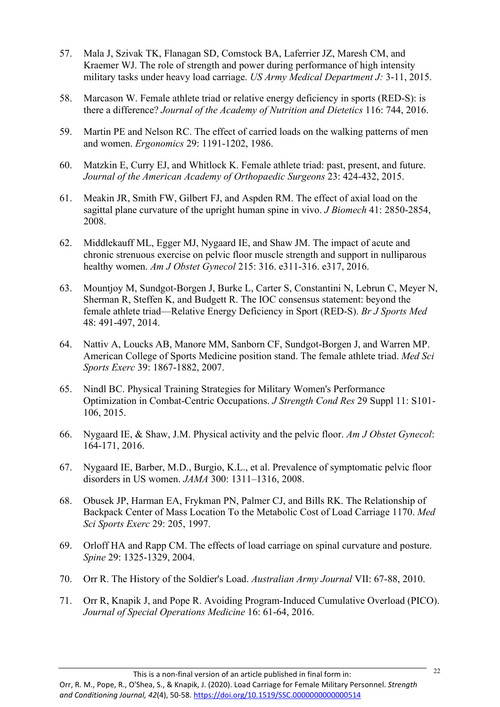- 57. Mala J, Szivak TK, Flanagan SD, Comstock BA, Laferrier JZ, Maresh CM, and Kraemer WJ. The role of strength and power during performance of high intensity military tasks under heavy load carriage. *US Army Medical Department J:* 3-11, 2015.
- 58. Marcason W. Female athlete triad or relative energy deficiency in sports (RED-S): is there a difference? *Journal of the Academy of Nutrition and Dietetics* 116: 744, 2016.
- 59. Martin PE and Nelson RC. The effect of carried loads on the walking patterns of men and women. *Ergonomics* 29: 1191-1202, 1986.
- 60. Matzkin E, Curry EJ, and Whitlock K. Female athlete triad: past, present, and future. *Journal of the American Academy of Orthopaedic Surgeons* 23: 424-432, 2015.
- 61. Meakin JR, Smith FW, Gilbert FJ, and Aspden RM. The effect of axial load on the sagittal plane curvature of the upright human spine in vivo. *J Biomech* 41: 2850-2854, 2008.
- 62. Middlekauff ML, Egger MJ, Nygaard IE, and Shaw JM. The impact of acute and chronic strenuous exercise on pelvic floor muscle strength and support in nulliparous healthy women. *Am J Obstet Gynecol* 215: 316. e311-316. e317, 2016.
- 63. Mountjoy M, Sundgot-Borgen J, Burke L, Carter S, Constantini N, Lebrun C, Meyer N, Sherman R, Steffen K, and Budgett R. The IOC consensus statement: beyond the female athlete triad—Relative Energy Deficiency in Sport (RED-S). *Br J Sports Med*  48: 491-497, 2014.
- 64. Nattiv A, Loucks AB, Manore MM, Sanborn CF, Sundgot-Borgen J, and Warren MP. American College of Sports Medicine position stand. The female athlete triad. *Med Sci Sports Exerc* 39: 1867-1882, 2007.
- 65. Nindl BC. Physical Training Strategies for Military Women's Performance Optimization in Combat-Centric Occupations. *J Strength Cond Res* 29 Suppl 11: S101- 106, 2015.
- 66. Nygaard IE, & Shaw, J.M. Physical activity and the pelvic floor. *Am J Obstet Gynecol*: 164-171, 2016.
- 67. Nygaard IE, Barber, M.D., Burgio, K.L., et al. Prevalence of symptomatic pelvic floor disorders in US women. *JAMA* 300: 1311–1316, 2008.
- 68. Obusek JP, Harman EA, Frykman PN, Palmer CJ, and Bills RK. The Relationship of Backpack Center of Mass Location To the Metabolic Cost of Load Carriage 1170. *Med Sci Sports Exerc* 29: 205, 1997.
- 69. Orloff HA and Rapp CM. The effects of load carriage on spinal curvature and posture. *Spine* 29: 1325-1329, 2004.
- 70. Orr R. The History of the Soldier's Load. *Australian Army Journal* VII: 67-88, 2010.
- 71. Orr R, Knapik J, and Pope R. Avoiding Program-Induced Cumulative Overload (PICO). *Journal of Special Operations Medicine* 16: 61-64, 2016.

This is a non-final version of an article published in final form in:

Orr, R. M., Pope, R., O'Shea, S., & Knapik, J. (2020). Load Carriage for Female Military Personnel. *Strength and Conditioning Journal, 42*(4), 50-58[. https://doi.org/10.1519/SSC.0000000000000514](https://doi.org/10.1519/SSC.0000000000000514)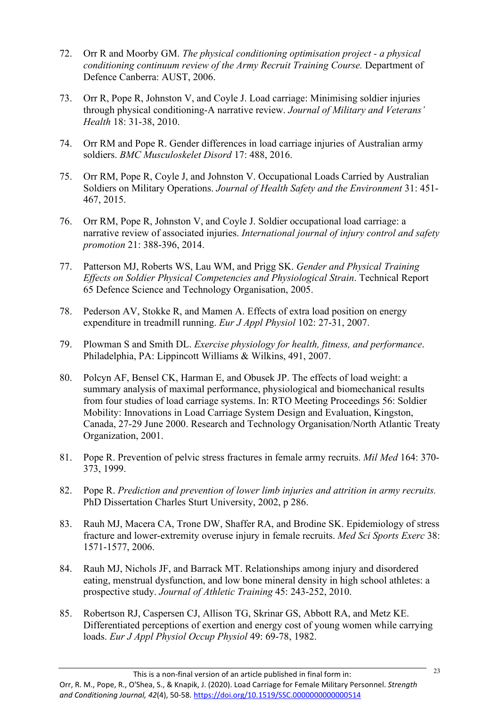- 72. Orr R and Moorby GM. *The physical conditioning optimisation project - a physical conditioning continuum review of the Army Recruit Training Course.* Department of Defence Canberra: AUST, 2006.
- 73. Orr R, Pope R, Johnston V, and Coyle J. Load carriage: Minimising soldier injuries through physical conditioning-A narrative review. *Journal of Military and Veterans' Health* 18: 31-38, 2010.
- 74. Orr RM and Pope R. Gender differences in load carriage injuries of Australian army soldiers. *BMC Musculoskelet Disord* 17: 488, 2016.
- 75. Orr RM, Pope R, Coyle J, and Johnston V. Occupational Loads Carried by Australian Soldiers on Military Operations. *Journal of Health Safety and the Environment* 31: 451- 467, 2015.
- 76. Orr RM, Pope R, Johnston V, and Coyle J. Soldier occupational load carriage: a narrative review of associated injuries. *International journal of injury control and safety promotion* 21: 388-396, 2014.
- 77. Patterson MJ, Roberts WS, Lau WM, and Prigg SK. *Gender and Physical Training Effects on Soldier Physical Competencies and Physiological Strain*. Technical Report 65 Defence Science and Technology Organisation, 2005.
- 78. Pederson AV, Stokke R, and Mamen A. Effects of extra load position on energy expenditure in treadmill running. *Eur J Appl Physiol* 102: 27-31, 2007.
- 79. Plowman S and Smith DL. *Exercise physiology for health, fitness, and performance*. Philadelphia, PA: Lippincott Williams & Wilkins, 491, 2007.
- 80. Polcyn AF, Bensel CK, Harman E, and Obusek JP. The effects of load weight: a summary analysis of maximal performance, physiological and biomechanical results from four studies of load carriage systems. In: RTO Meeting Proceedings 56: Soldier Mobility: Innovations in Load Carriage System Design and Evaluation, Kingston, Canada, 27-29 June 2000. Research and Technology Organisation/North Atlantic Treaty Organization, 2001.
- 81. Pope R. Prevention of pelvic stress fractures in female army recruits. *Mil Med* 164: 370- 373, 1999.
- 82. Pope R. *Prediction and prevention of lower limb injuries and attrition in army recruits.* PhD Dissertation Charles Sturt University, 2002, p 286.
- 83. Rauh MJ, Macera CA, Trone DW, Shaffer RA, and Brodine SK. Epidemiology of stress fracture and lower-extremity overuse injury in female recruits. *Med Sci Sports Exerc* 38: 1571-1577, 2006.
- 84. Rauh MJ, Nichols JF, and Barrack MT. Relationships among injury and disordered eating, menstrual dysfunction, and low bone mineral density in high school athletes: a prospective study. *Journal of Athletic Training* 45: 243-252, 2010.
- 85. Robertson RJ, Caspersen CJ, Allison TG, Skrinar GS, Abbott RA, and Metz KE. Differentiated perceptions of exertion and energy cost of young women while carrying loads. *Eur J Appl Physiol Occup Physiol* 49: 69-78, 1982.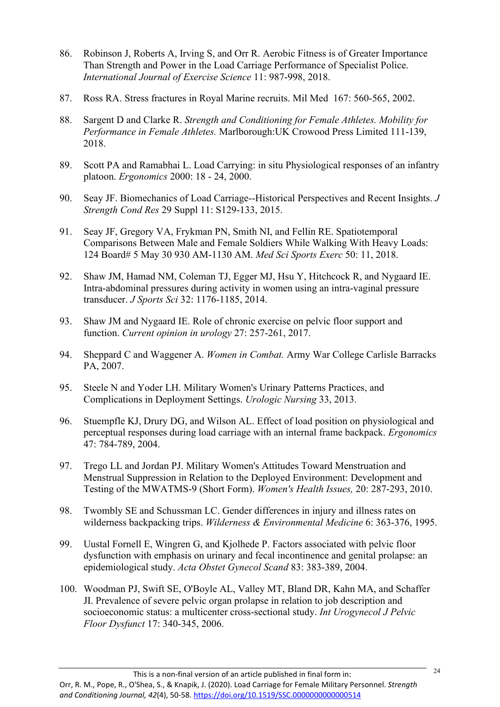- 86. Robinson J, Roberts A, Irving S, and Orr R. Aerobic Fitness is of Greater Importance Than Strength and Power in the Load Carriage Performance of Specialist Police. *International Journal of Exercise Science* 11: 987-998, 2018.
- 87. Ross RA. Stress fractures in Royal Marine recruits. Mil Med 167: 560-565, 2002.
- 88. Sargent D and Clarke R. *Strength and Conditioning for Female Athletes. Mobility for Performance in Female Athletes.* Marlborough:UK Crowood Press Limited 111-139, 2018.
- 89. Scott PA and Ramabhai L. Load Carrying: in situ Physiological responses of an infantry platoon. *Ergonomics* 2000: 18 - 24, 2000.
- 90. Seay JF. Biomechanics of Load Carriage--Historical Perspectives and Recent Insights. *J Strength Cond Res* 29 Suppl 11: S129-133, 2015.
- 91. Seay JF, Gregory VA, Frykman PN, Smith NI, and Fellin RE. Spatiotemporal Comparisons Between Male and Female Soldiers While Walking With Heavy Loads: 124 Board# 5 May 30 930 AM-1130 AM. *Med Sci Sports Exerc* 50: 11, 2018.
- 92. Shaw JM, Hamad NM, Coleman TJ, Egger MJ, Hsu Y, Hitchcock R, and Nygaard IE. Intra-abdominal pressures during activity in women using an intra-vaginal pressure transducer. *J Sports Sci* 32: 1176-1185, 2014.
- 93. Shaw JM and Nygaard IE. Role of chronic exercise on pelvic floor support and function. *Current opinion in urology* 27: 257-261, 2017.
- 94. Sheppard C and Waggener A. *Women in Combat.* Army War College Carlisle Barracks PA, 2007.
- 95. Steele N and Yoder LH. Military Women's Urinary Patterns Practices, and Complications in Deployment Settings. *Urologic Nursing* 33, 2013.
- 96. Stuempfle KJ, Drury DG, and Wilson AL. Effect of load position on physiological and perceptual responses during load carriage with an internal frame backpack. *Ergonomics* 47: 784-789, 2004.
- 97. Trego LL and Jordan PJ. Military Women's Attitudes Toward Menstruation and Menstrual Suppression in Relation to the Deployed Environment: Development and Testing of the MWATMS-9 (Short Form). *Women's Health Issues,* 20: 287-293, 2010.
- 98. Twombly SE and Schussman LC. Gender differences in injury and illness rates on wilderness backpacking trips. *Wilderness & Environmental Medicine* 6: 363-376, 1995.
- 99. Uustal Fornell E, Wingren G, and Kjolhede P. Factors associated with pelvic floor dysfunction with emphasis on urinary and fecal incontinence and genital prolapse: an epidemiological study. *Acta Obstet Gynecol Scand* 83: 383-389, 2004.
- 100. Woodman PJ, Swift SE, O'Boyle AL, Valley MT, Bland DR, Kahn MA, and Schaffer JI. Prevalence of severe pelvic organ prolapse in relation to job description and socioeconomic status: a multicenter cross-sectional study. *Int Urogynecol J Pelvic Floor Dysfunct* 17: 340-345, 2006.